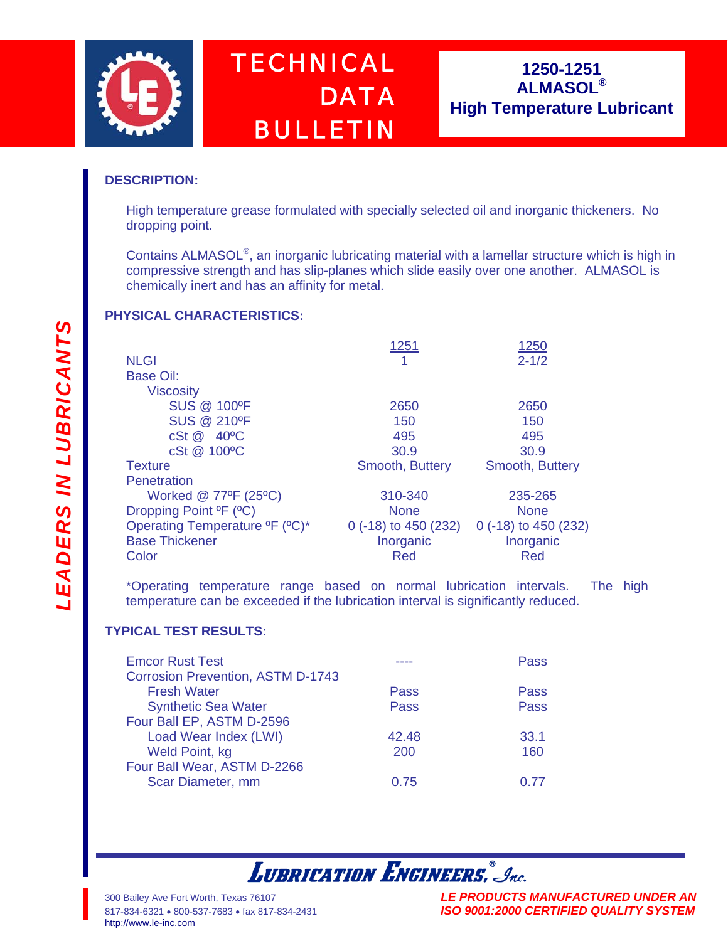

# *TECHNICAL DATA BULLETIN*

## **1250-1251 ALMASOL® High Temperature Lubricant**

### **DESCRIPTION:**

High temperature grease formulated with specially selected oil and inorganic thickeners. No dropping point.

Contains ALMASOL®, an inorganic lubricating material with a lamellar structure which is high in compressive strength and has slip-planes which slide easily over one another. ALMASOL is chemically inert and has an affinity for metal.

### **PHYSICAL CHARACTERISTICS:**

|                                                        | 1251                   | 1250                 |
|--------------------------------------------------------|------------------------|----------------------|
| <b>NLGI</b>                                            |                        | $2 - 1/2$            |
| Base Oil:                                              |                        |                      |
| <b>Viscosity</b>                                       |                        |                      |
| <b>SUS @ 100°F</b>                                     | 2650                   | 2650                 |
| <b>SUS @ 210°F</b>                                     | 150                    | 150                  |
| cSt @ 40°C                                             | 495                    | 495                  |
| cSt @ 100°C                                            | 30.9                   | 30.9                 |
| <b>Texture</b>                                         | Smooth, Buttery        | Smooth, Buttery      |
| Penetration                                            |                        |                      |
| Worked @ 77°F (25°C)                                   | 310-340                | 235-265              |
| Dropping Point <sup>o</sup> F ( <sup>o</sup> C)        | <b>None</b>            | <b>None</b>          |
| Operating Temperature <sup>o</sup> F (°C) <sup>*</sup> | $0$ (-18) to 450 (232) | 0 (-18) to 450 (232) |
| <b>Base Thickener</b>                                  | Inorganic              | Inorganic            |
| Color                                                  | Red                    | Red                  |
|                                                        |                        |                      |

\*Operating temperature range based on normal lubrication intervals. The high temperature can be exceeded if the lubrication interval is significantly reduced.

### **TYPICAL TEST RESULTS:**

|       | Pass        |
|-------|-------------|
|       |             |
|       | <b>Pass</b> |
| Pass  | Pass        |
|       |             |
| 42.48 | 33.1        |
| 200   | 160         |
|       |             |
| 0.75  | በ 77        |
|       | Pass        |

# **LUBRICATION ENGINEERS.** Inc.

[http://www.le-inc.com](http://www.le-inc.com/)

300 Bailey Ave Fort Worth, Texas 76107 *LE PRODUCTS MANUFACTURED UNDER AN* 817-834-6321 • 800-537-7683 • fax 817-834-2431 *ISO 9001:2000 CERTIFIED QUALITY SYSTEM*